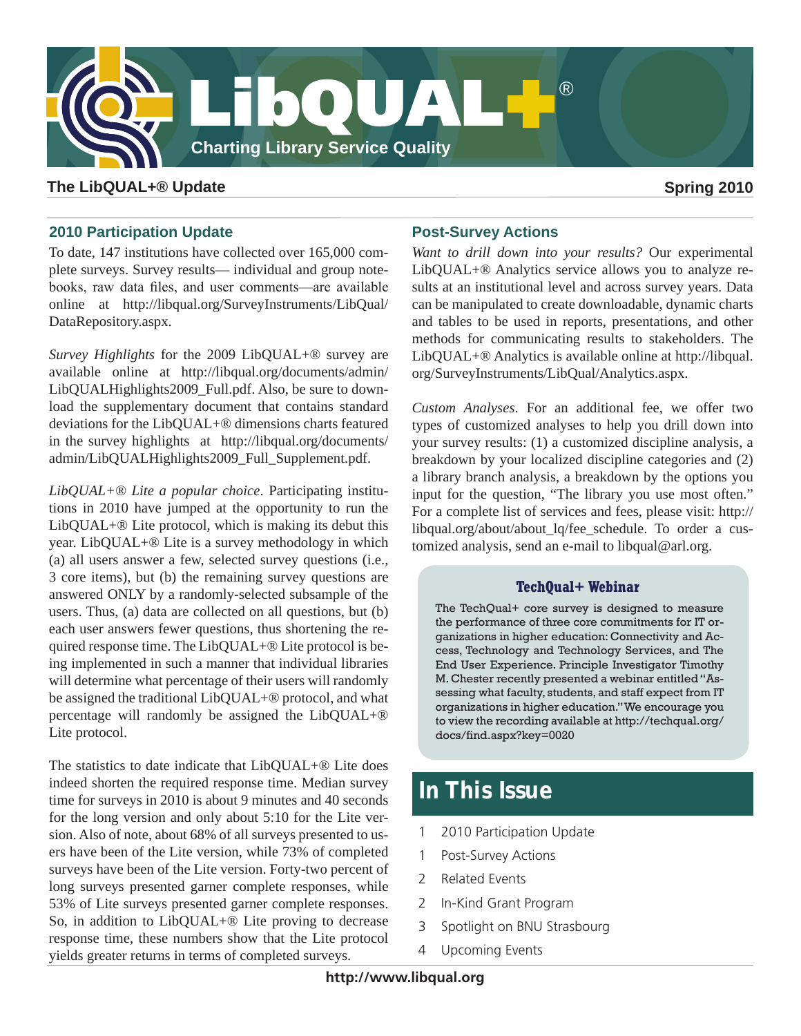

# **The LibQUAL+® Update Spring 2010**

# **2010 Participation Update**

To date, 147 institutions have collected over 165,000 complete surveys. Survey results— individual and group notebooks, raw data files, and user comments—are available online at http://libqual.org/SurveyInstruments/LibQual/ DataRepository.aspx.

*Survey Highlights* for the 2009 LibQUAL+® survey are available online at http://libqual.org/documents/admin/ LibQUALHighlights2009\_Full.pdf. Also, be sure to download the supplementary document that contains standard deviations for the LibQUAL+® dimensions charts featured in the survey highlights at http://libqual.org/documents/ admin/LibQUALHighlights2009\_Full\_Supplement.pdf.

*LibQUAL+® Lite a popular choice*. Participating institutions in 2010 have jumped at the opportunity to run the LibQUAL+® Lite protocol, which is making its debut this year. LibQUAL+® Lite is a survey methodology in which (a) all users answer a few, selected survey questions (i.e., 3 core items), but (b) the remaining survey questions are answered ONLY by a randomly-selected subsample of the users. Thus, (a) data are collected on all questions, but (b) each user answers fewer questions, thus shortening the required response time. The LibQUAL+® Lite protocol is being implemented in such a manner that individual libraries will determine what percentage of their users will randomly be assigned the traditional LibQUAL+® protocol, and what percentage will randomly be assigned the LibQUAL+® Lite protocol.

The statistics to date indicate that LibQUAL+® Lite does indeed shorten the required response time. Median survey time for surveys in 2010 is about 9 minutes and 40 seconds for the long version and only about 5:10 for the Lite version. Also of note, about 68% of all surveys presented to users have been of the Lite version, while 73% of completed surveys have been of the Lite version. Forty-two percent of long surveys presented garner complete responses, while 53% of Lite surveys presented garner complete responses. So, in addition to LibQUAL+® Lite proving to decrease response time, these numbers show that the Lite protocol yields greater returns in terms of completed surveys.

## **Post-Survey Actions**

*Want to drill down into your results?* Our experimental LibQUAL+® Analytics service allows you to analyze results at an institutional level and across survey years. Data can be manipulated to create downloadable, dynamic charts and tables to be used in reports, presentations, and other methods for communicating results to stakeholders. The LibQUAL+® Analytics is available online at http://libqual. org/SurveyInstruments/LibQual/Analytics.aspx.

*Custom Analyses*. For an additional fee, we offer two types of customized analyses to help you drill down into your survey results: (1) a customized discipline analysis, a breakdown by your localized discipline categories and (2) a library branch analysis, a breakdown by the options you input for the question, "The library you use most often." For a complete list of services and fees, please visit: http:// libqual.org/about/about lq/fee schedule. To order a customized analysis, send an e-mail to libqual@arl.org.

# **TechQual+ Webinar**

The TechQual+ core survey is designed to measure the performance of three core commitments for IT organizations in higher education: Connectivity and Access, Technology and Technology Services, and The End User Experience. Principle Investigator Timothy M. Chester recently presented a webinar entitled "Assessing what faculty, students, and staff expect from IT organizations in higher education." We encourage you to view the recording available at http://techqual.org/ docs/find.aspx?key=0020

# **In This Issue**

- 1 2010 Participation Update
- 1 Post-Survey Actions
- 2 Related Events
- 2 In-Kind Grant Program
- 3 Spotlight on BNU Strasbourg
- 4 Upcoming Events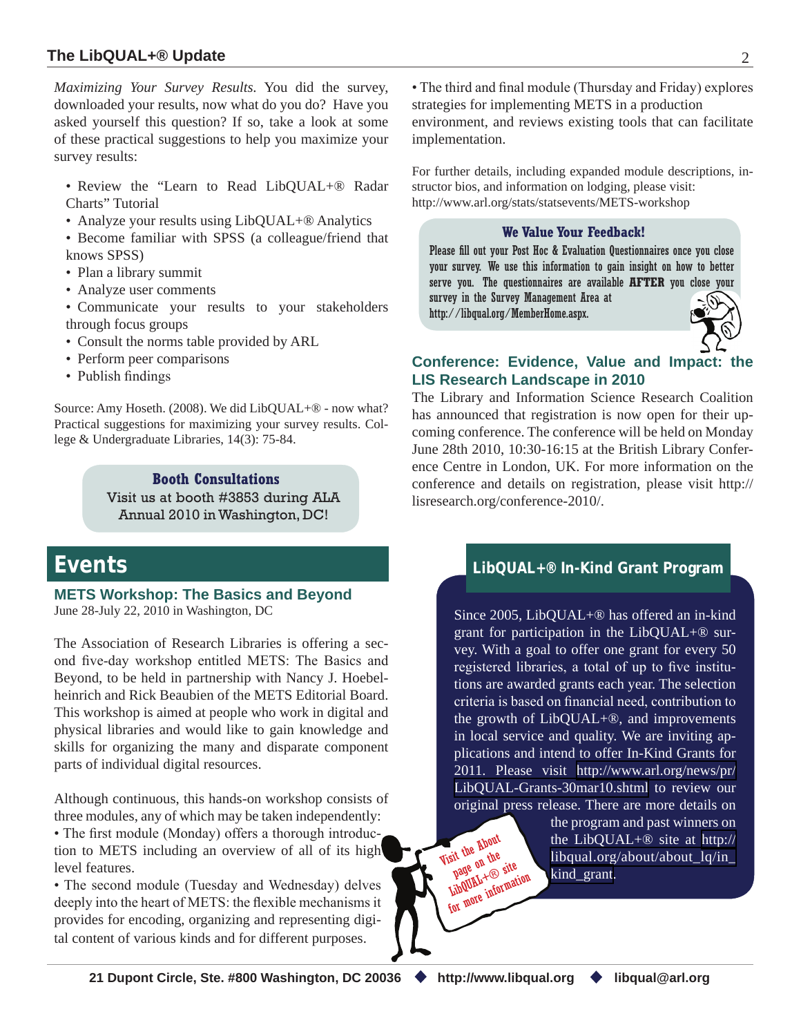# **The LibQUAL+® Update** 2

*Maximizing Your Survey Results.* You did the survey, downloaded your results, now what do you do? Have you asked yourself this question? If so, take a look at some of these practical suggestions to help you maximize your survey results:

- Review the "Learn to Read LibQUAL+® Radar Charts" Tutorial
- Analyze your results using LibQUAL+<sup>®</sup> Analytics
- Become familiar with SPSS (a colleague/friend that knows SPSS)
- Plan a library summit
- Analyze user comments
- Communicate your results to your stakeholders through focus groups
- Consult the norms table provided by ARL
- Perform peer comparisons
- Publish findings

Source: Amy Hoseth. (2008). We did LibQUAL+® - now what? Practical suggestions for maximizing your survey results. College & Undergraduate Libraries, 14(3): 75-84.

> **Booth Consultations** Visit us at booth #3853 during ALA Annual 2010 in Washington, DC!

# **Events**

**METS Workshop: The Basics and Beyond** June 28-July 22, 2010 in Washington, DC

The Association of Research Libraries is offering a second five-day workshop entitled METS: The Basics and Beyond, to be held in partnership with Nancy J. Hoebelheinrich and Rick Beaubien of the METS Editorial Board. This workshop is aimed at people who work in digital and physical libraries and would like to gain knowledge and skills for organizing the many and disparate component parts of individual digital resources.

Although continuous, this hands-on workshop consists of three modules, any of which may be taken independently: • The first module (Monday) offers a thorough introduction to METS including an overview of all of its high level features.

• The second module (Tuesday and Wednesday) delves deeply into the heart of METS: the flexible mechanisms it provides for encoding, organizing and representing digital content of various kinds and for different purposes.

• The third and final module (Thursday and Friday) explores strategies for implementing METS in a production environment, and reviews existing tools that can facilitate implementation.

For further details, including expanded module descriptions, instructor bios, and information on lodging, please visit: http://www.arl.org/stats/statsevents/METS-workshop

### **We Value Your Feedback!**

Please fill out your Post Hoc & Evaluation Questionnaires once you close your survey. We use this information to gain insight on how to better serve you. The questionnaires are available **AFTER** you close your survey in the Survey Management Area at

http://libqual.org/MemberHome.aspx.



# **Conference: Evidence, Value and Impact: the LIS Research Landscape in 2010**

The Library and Information Science Research Coalition has announced that registration is now open for their upcoming conference. The conference will be held on Monday June 28th 2010, 10:30-16:15 at the British Library Conference Centre in London, UK. For more information on the conference and details on registration, please visit http:// lisresearch.org/conference-2010/.

# **LibQUAL+® In-Kind Grant Program**

Since 2005, LibQUAL+® has offered an in-kind grant for participation in the LibQUAL+® survey. With a goal to offer one grant for every 50 registered libraries, a total of up to five institutions are awarded grants each year. The selection criteria is based on financial need, contribution to the growth of LibQUAL+®, and improvements in local service and quality. We are inviting applications and intend to offer In-Kind Grants for 2011. Please visit [http://www.arl.org/news/pr/](http://www.arl.org/news/pr/LibQUAL-Grants-30mar10.shtml) [LibQUAL-Grants-30mar10.shtml](http://www.arl.org/news/pr/LibQUAL-Grants-30mar10.shtml) to review our original press release. There are more details on

> the program and past winners on the LibQUAL+® site at [http://](http://libqual.org/about/about_lq/in_kind_grant) [libqual.org/about/about\\_lq/in\\_](http://libqual.org/about/about_lq/in_kind_grant) [kind\\_grant.](http://libqual.org/about/about_lq/in_kind_grant)

Visit the About LibQUAL+® site page ou site<br>LibQUAL+® site<br>LibQUAL+ informati LibQUAL+18 ration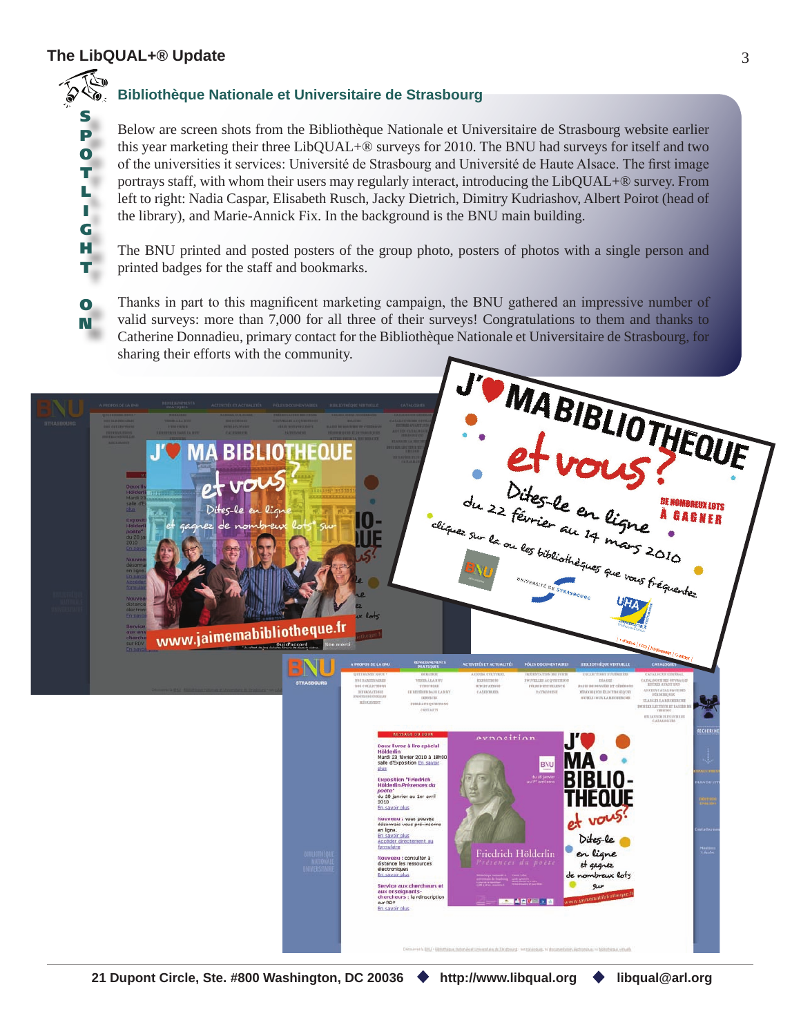# **The LibQUAL+® Update** 3

S P O T L I G H T

Ò

O N

# **Bibliothèque Nationale et Universitaire de Strasbourg**

Below are screen shots from the Bibliothèque Nationale et Universitaire de Strasbourg website earlier this year marketing their three LibQUAL+® surveys for 2010. The BNU had surveys for itself and two of the universities it services: Université de Strasbourg and Université de Haute Alsace. The first image portrays staff, with whom their users may regularly interact, introducing the LibQUAL+® survey. From left to right: Nadia Caspar, Elisabeth Rusch, Jacky Dietrich, Dimitry Kudriashov, Albert Poirot (head of the library), and Marie-Annick Fix. In the background is the BNU main building.

The BNU printed and posted posters of the group photo, posters of photos with a single person and printed badges for the staff and bookmarks.

Thanks in part to this magnificent marketing campaign, the BNU gathered an impressive number of valid surveys: more than 7,000 for all three of their surveys! Congratulations to them and thanks to Catherine Donnadieu, primary contact for the Bibliothèque Nationale et Universitaire de Strasbourg, for sharing their efforts with the community.